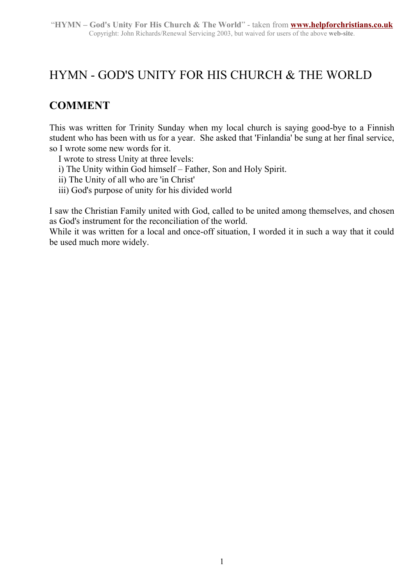## HYMN - GOD'S UNITY FOR HIS CHURCH & THE WORLD

## **COMMENT**

This was written for Trinity Sunday when my local church is saying good-bye to a Finnish student who has been with us for a year. She asked that 'Finlandia' be sung at her final service, so I wrote some new words for it.

I wrote to stress Unity at three levels:

- i) The Unity within God himself Father, Son and Holy Spirit.
- ii) The Unity of all who are 'in Christ'
- iii) God's purpose of unity for his divided world

I saw the Christian Family united with God, called to be united among themselves, and chosen as God's instrument for the reconciliation of the world.

While it was written for a local and once-off situation, I worded it in such a way that it could be used much more widely.